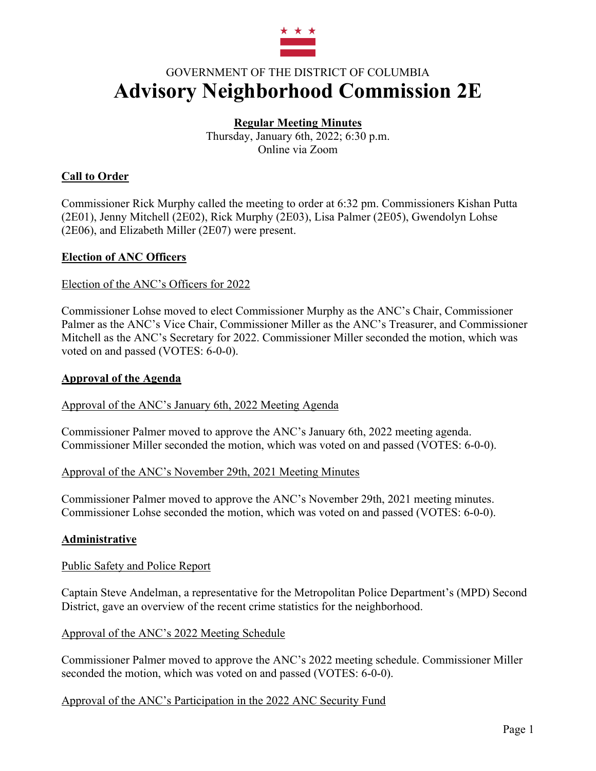

# GOVERNMENT OF THE DISTRICT OF COLUMBIA **Advisory Neighborhood Commission 2E**

# **Regular Meeting Minutes**

Thursday, January 6th, 2022; 6:30 p.m. Online via Zoom

# **Call to Order**

Commissioner Rick Murphy called the meeting to order at 6:32 pm. Commissioners Kishan Putta (2E01), Jenny Mitchell (2E02), Rick Murphy (2E03), Lisa Palmer (2E05), Gwendolyn Lohse (2E06), and Elizabeth Miller (2E07) were present.

# **Election of ANC Officers**

## Election of the ANC's Officers for 2022

Commissioner Lohse moved to elect Commissioner Murphy as the ANC's Chair, Commissioner Palmer as the ANC's Vice Chair, Commissioner Miller as the ANC's Treasurer, and Commissioner Mitchell as the ANC's Secretary for 2022. Commissioner Miller seconded the motion, which was voted on and passed (VOTES: 6-0-0).

#### **Approval of the Agenda**

Approval of the ANC's January 6th, 2022 Meeting Agenda

Commissioner Palmer moved to approve the ANC's January 6th, 2022 meeting agenda. Commissioner Miller seconded the motion, which was voted on and passed (VOTES: 6-0-0).

## Approval of the ANC's November 29th, 2021 Meeting Minutes

Commissioner Palmer moved to approve the ANC's November 29th, 2021 meeting minutes. Commissioner Lohse seconded the motion, which was voted on and passed (VOTES: 6-0-0).

# **Administrative**

#### Public Safety and Police Report

Captain Steve Andelman, a representative for the Metropolitan Police Department's (MPD) Second District, gave an overview of the recent crime statistics for the neighborhood.

#### Approval of the ANC's 2022 Meeting Schedule

Commissioner Palmer moved to approve the ANC's 2022 meeting schedule. Commissioner Miller seconded the motion, which was voted on and passed (VOTES: 6-0-0).

#### Approval of the ANC's Participation in the 2022 ANC Security Fund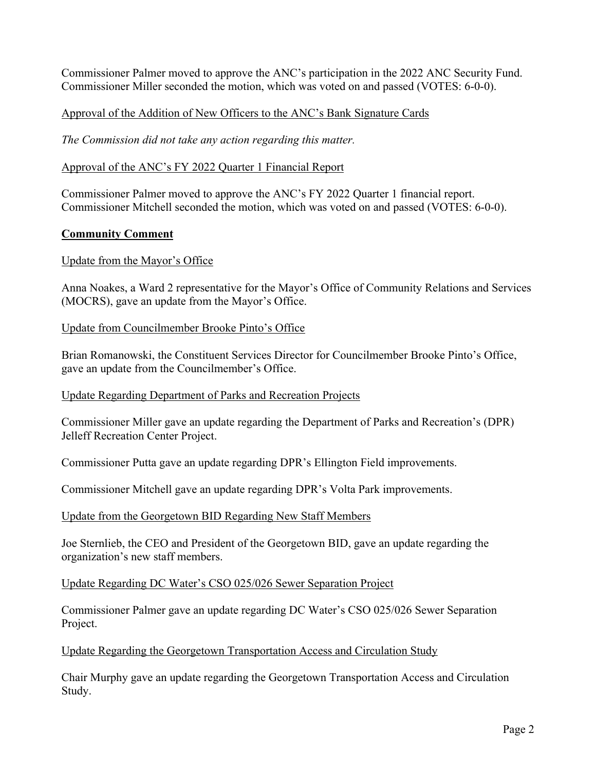Commissioner Palmer moved to approve the ANC's participation in the 2022 ANC Security Fund. Commissioner Miller seconded the motion, which was voted on and passed (VOTES: 6-0-0).

## Approval of the Addition of New Officers to the ANC's Bank Signature Cards

*The Commission did not take any action regarding this matter.*

## Approval of the ANC's FY 2022 Quarter 1 Financial Report

Commissioner Palmer moved to approve the ANC's FY 2022 Quarter 1 financial report. Commissioner Mitchell seconded the motion, which was voted on and passed (VOTES: 6-0-0).

#### **Community Comment**

## Update from the Mayor's Office

Anna Noakes, a Ward 2 representative for the Mayor's Office of Community Relations and Services (MOCRS), gave an update from the Mayor's Office.

#### Update from Councilmember Brooke Pinto's Office

Brian Romanowski, the Constituent Services Director for Councilmember Brooke Pinto's Office, gave an update from the Councilmember's Office.

Update Regarding Department of Parks and Recreation Projects

Commissioner Miller gave an update regarding the Department of Parks and Recreation's (DPR) Jelleff Recreation Center Project.

Commissioner Putta gave an update regarding DPR's Ellington Field improvements.

Commissioner Mitchell gave an update regarding DPR's Volta Park improvements.

#### Update from the Georgetown BID Regarding New Staff Members

Joe Sternlieb, the CEO and President of the Georgetown BID, gave an update regarding the organization's new staff members.

Update Regarding DC Water's CSO 025/026 Sewer Separation Project

Commissioner Palmer gave an update regarding DC Water's CSO 025/026 Sewer Separation Project.

Update Regarding the Georgetown Transportation Access and Circulation Study

Chair Murphy gave an update regarding the Georgetown Transportation Access and Circulation Study.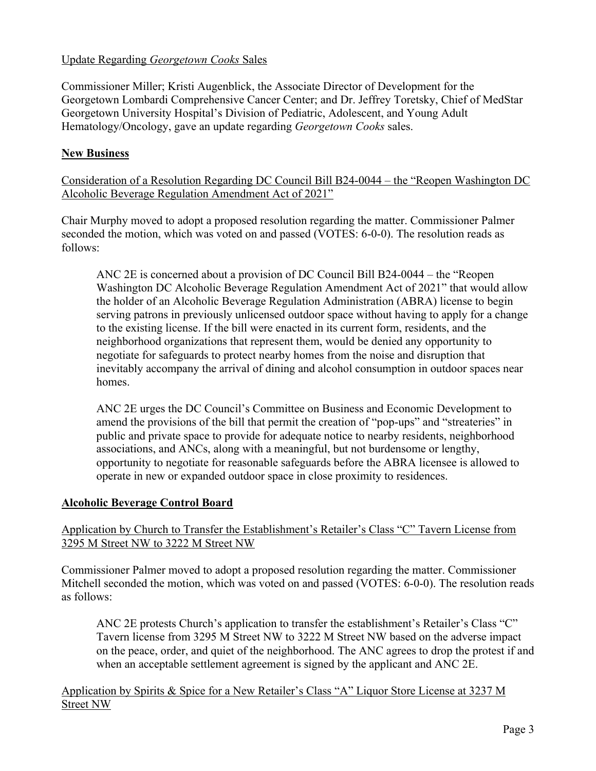## Update Regarding *Georgetown Cooks* Sales

Commissioner Miller; Kristi Augenblick, the Associate Director of Development for the Georgetown Lombardi Comprehensive Cancer Center; and Dr. Jeffrey Toretsky, Chief of MedStar Georgetown University Hospital's Division of Pediatric, Adolescent, and Young Adult Hematology/Oncology, gave an update regarding *Georgetown Cooks* sales.

## **New Business**

Consideration of a Resolution Regarding DC Council Bill B24-0044 – the "Reopen Washington DC Alcoholic Beverage Regulation Amendment Act of 2021"

Chair Murphy moved to adopt a proposed resolution regarding the matter. Commissioner Palmer seconded the motion, which was voted on and passed (VOTES: 6-0-0). The resolution reads as follows:

ANC 2E is concerned about a provision of DC Council Bill B24-0044 – the "Reopen Washington DC Alcoholic Beverage Regulation Amendment Act of 2021" that would allow the holder of an Alcoholic Beverage Regulation Administration (ABRA) license to begin serving patrons in previously unlicensed outdoor space without having to apply for a change to the existing license. If the bill were enacted in its current form, residents, and the neighborhood organizations that represent them, would be denied any opportunity to negotiate for safeguards to protect nearby homes from the noise and disruption that inevitably accompany the arrival of dining and alcohol consumption in outdoor spaces near homes.

ANC 2E urges the DC Council's Committee on Business and Economic Development to amend the provisions of the bill that permit the creation of "pop-ups" and "streateries" in public and private space to provide for adequate notice to nearby residents, neighborhood associations, and ANCs, along with a meaningful, but not burdensome or lengthy, opportunity to negotiate for reasonable safeguards before the ABRA licensee is allowed to operate in new or expanded outdoor space in close proximity to residences.

#### **Alcoholic Beverage Control Board**

## Application by Church to Transfer the Establishment's Retailer's Class "C" Tavern License from 3295 M Street NW to 3222 M Street NW

Commissioner Palmer moved to adopt a proposed resolution regarding the matter. Commissioner Mitchell seconded the motion, which was voted on and passed (VOTES: 6-0-0). The resolution reads as follows:

ANC 2E protests Church's application to transfer the establishment's Retailer's Class "C" Tavern license from 3295 M Street NW to 3222 M Street NW based on the adverse impact on the peace, order, and quiet of the neighborhood. The ANC agrees to drop the protest if and when an acceptable settlement agreement is signed by the applicant and ANC 2E.

## Application by Spirits & Spice for a New Retailer's Class "A" Liquor Store License at 3237 M Street NW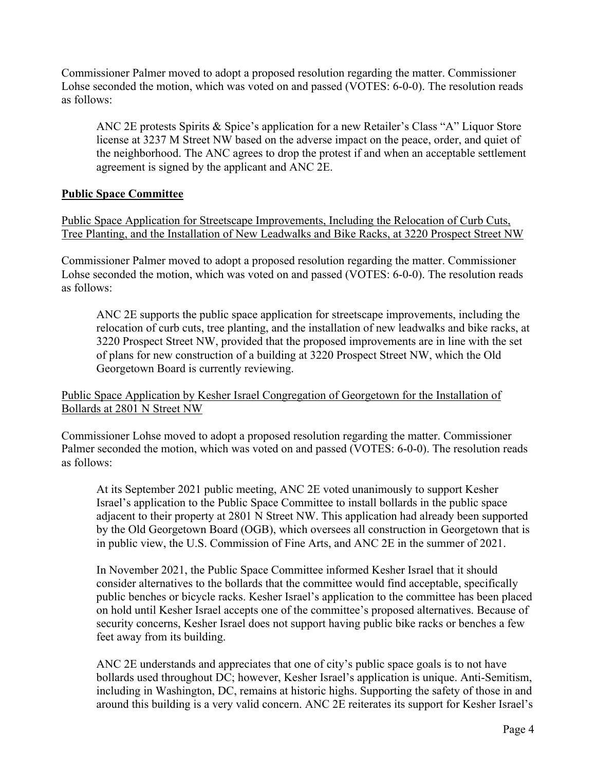Commissioner Palmer moved to adopt a proposed resolution regarding the matter. Commissioner Lohse seconded the motion, which was voted on and passed (VOTES: 6-0-0). The resolution reads as follows:

ANC 2E protests Spirits & Spice's application for a new Retailer's Class "A" Liquor Store license at 3237 M Street NW based on the adverse impact on the peace, order, and quiet of the neighborhood. The ANC agrees to drop the protest if and when an acceptable settlement agreement is signed by the applicant and ANC 2E.

#### **Public Space Committee**

Public Space Application for Streetscape Improvements, Including the Relocation of Curb Cuts, Tree Planting, and the Installation of New Leadwalks and Bike Racks, at 3220 Prospect Street NW

Commissioner Palmer moved to adopt a proposed resolution regarding the matter. Commissioner Lohse seconded the motion, which was voted on and passed (VOTES: 6-0-0). The resolution reads as follows:

ANC 2E supports the public space application for streetscape improvements, including the relocation of curb cuts, tree planting, and the installation of new leadwalks and bike racks, at 3220 Prospect Street NW, provided that the proposed improvements are in line with the set of plans for new construction of a building at 3220 Prospect Street NW, which the Old Georgetown Board is currently reviewing.

Public Space Application by Kesher Israel Congregation of Georgetown for the Installation of Bollards at 2801 N Street NW

Commissioner Lohse moved to adopt a proposed resolution regarding the matter. Commissioner Palmer seconded the motion, which was voted on and passed (VOTES: 6-0-0). The resolution reads as follows:

At its September 2021 public meeting, ANC 2E voted unanimously to support Kesher Israel's application to the Public Space Committee to install bollards in the public space adjacent to their property at 2801 N Street NW. This application had already been supported by the Old Georgetown Board (OGB), which oversees all construction in Georgetown that is in public view, the U.S. Commission of Fine Arts, and ANC 2E in the summer of 2021.

In November 2021, the Public Space Committee informed Kesher Israel that it should consider alternatives to the bollards that the committee would find acceptable, specifically public benches or bicycle racks. Kesher Israel's application to the committee has been placed on hold until Kesher Israel accepts one of the committee's proposed alternatives. Because of security concerns, Kesher Israel does not support having public bike racks or benches a few feet away from its building.

ANC 2E understands and appreciates that one of city's public space goals is to not have bollards used throughout DC; however, Kesher Israel's application is unique. Anti-Semitism, including in Washington, DC, remains at historic highs. Supporting the safety of those in and around this building is a very valid concern. ANC 2E reiterates its support for Kesher Israel's